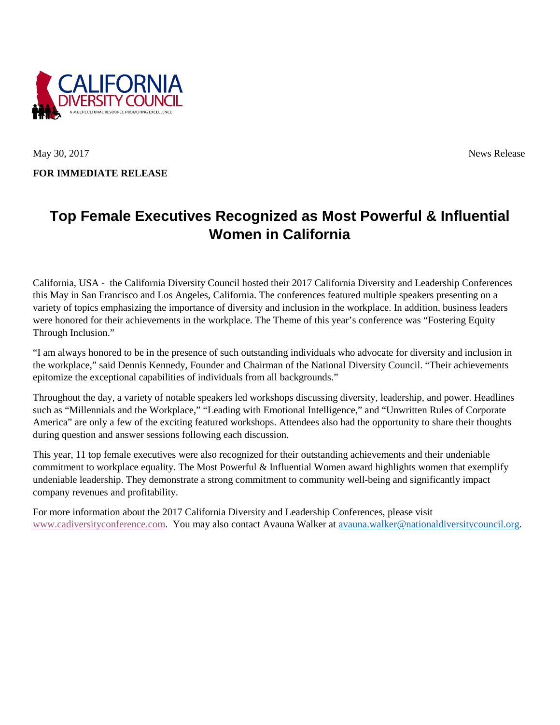

May 30, 2017 News Release

**FOR IMMEDIATE RELEASE**

# **Top Female Executives Recognized as Most Powerful & Influential Women in California**

California, USA - the California Diversity Council hosted their 2017 California Diversity and Leadership Conferences this May in San Francisco and Los Angeles, California. The conferences featured multiple speakers presenting on a variety of topics emphasizing the importance of diversity and inclusion in the workplace. In addition, business leaders were honored for their achievements in the workplace. The Theme of this year's conference was "Fostering Equity Through Inclusion."

"I am always honored to be in the presence of such outstanding individuals who advocate for diversity and inclusion in the workplace," said Dennis Kennedy, Founder and Chairman of the National Diversity Council. "Their achievements epitomize the exceptional capabilities of individuals from all backgrounds."

Throughout the day, a variety of notable speakers led workshops discussing diversity, leadership, and power. Headlines such as "Millennials and the Workplace," "Leading with Emotional Intelligence," and "Unwritten Rules of Corporate America" are only a few of the exciting featured workshops. Attendees also had the opportunity to share their thoughts during question and answer sessions following each discussion.

This year, 11 top female executives were also recognized for their outstanding achievements and their undeniable commitment to workplace equality. The Most Powerful & Influential Women award highlights women that exemplify undeniable leadership. They demonstrate a strong commitment to community well-being and significantly impact company revenues and profitability.

For more information about the 2017 California Diversity and Leadership Conferences, please visit [www.cadiversityconference.com.](http://www.cadiversityconference.com/) You may also contact Avauna Walker at [avauna.walker@nationaldiversitycouncil.org.](mailto:avauna.walker@nationaldiversitycouncil.org)